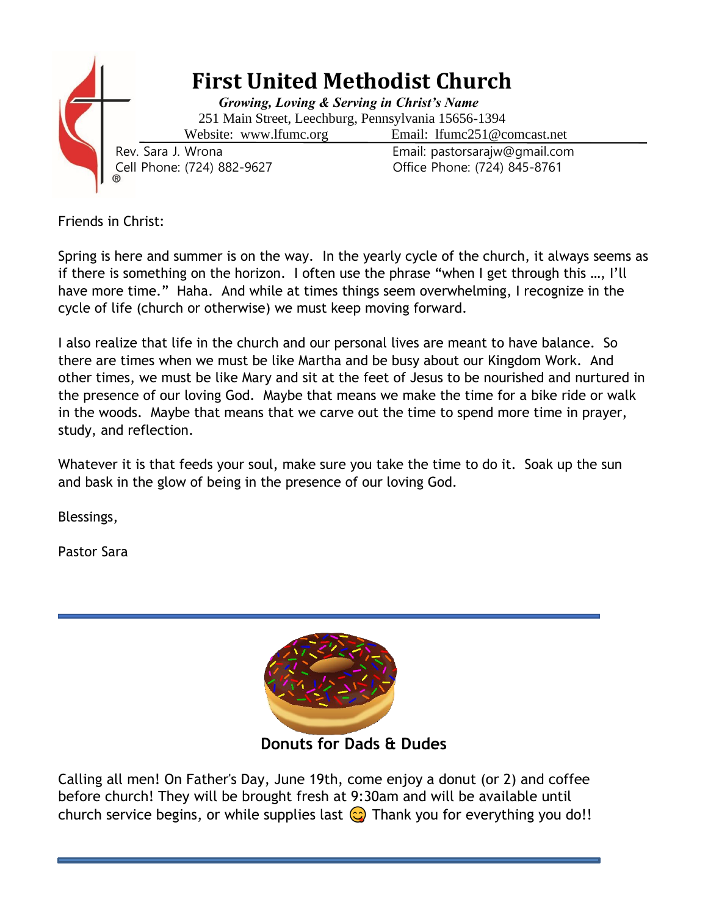

Friends in Christ:

Spring is here and summer is on the way. In the yearly cycle of the church, it always seems as if there is something on the horizon. I often use the phrase "when I get through this …, I'll have more time." Haha. And while at times things seem overwhelming, I recognize in the cycle of life (church or otherwise) we must keep moving forward.

I also realize that life in the church and our personal lives are meant to have balance. So there are times when we must be like Martha and be busy about our Kingdom Work. And other times, we must be like Mary and sit at the feet of Jesus to be nourished and nurtured in the presence of our loving God. Maybe that means we make the time for a bike ride or walk in the woods. Maybe that means that we carve out the time to spend more time in prayer, study, and reflection.

Whatever it is that feeds your soul, make sure you take the time to do it. Soak up the sun and bask in the glow of being in the presence of our loving God.

Blessings,

Pastor Sara



**Donuts for Dads & Dudes**

Calling all men! On Father's Day, June 19th, come enjoy a donut (or 2) and coffee before church! They will be brought fresh at 9:30am and will be available until church service begins, or while supplies last  $\odot$  Thank you for everything you do!!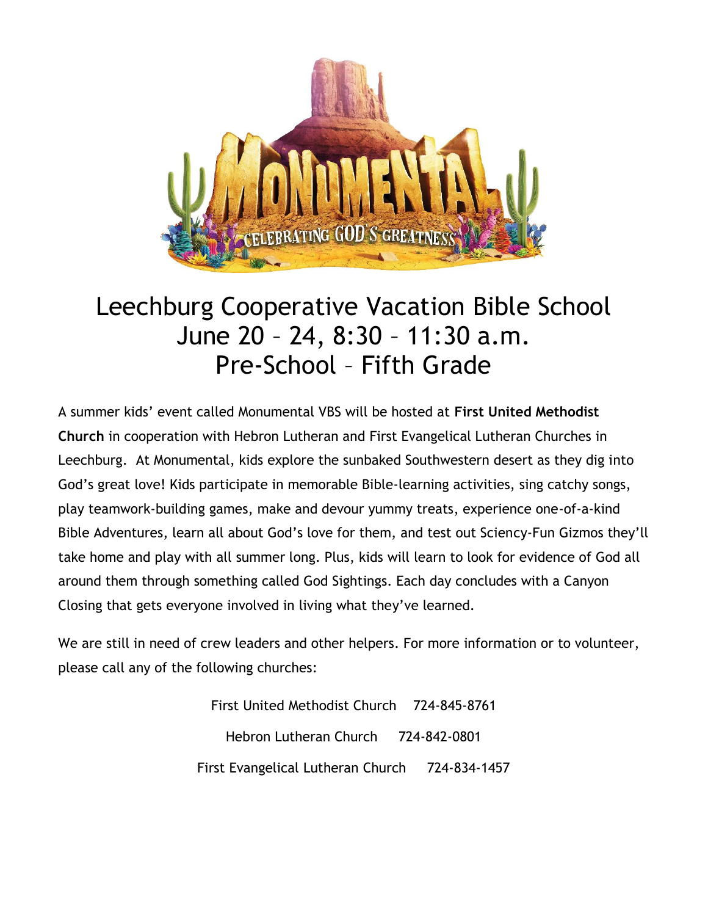

## Leechburg Cooperative Vacation Bible School June 20 – 24, 8:30 – 11:30 a.m. Pre-School – Fifth Grade

A summer kids' event called Monumental VBS will be hosted at **First United Methodist Church** in cooperation with Hebron Lutheran and First Evangelical Lutheran Churches in Leechburg. At Monumental, kids explore the sunbaked Southwestern desert as they dig into God's great love! Kids participate in memorable Bible-learning activities, sing catchy songs, play teamwork-building games, make and devour yummy treats, experience one-of-a-kind Bible Adventures, learn all about God's love for them, and test out Sciency-Fun Gizmos they'll take home and play with all summer long. Plus, kids will learn to look for evidence of God all around them through something called God Sightings. Each day concludes with a Canyon Closing that gets everyone involved in living what they've learned.

We are still in need of crew leaders and other helpers. For more information or to volunteer, please call any of the following churches:

> First United Methodist Church 724-845-8761 Hebron Lutheran Church 724-842-0801 First Evangelical Lutheran Church 724-834-1457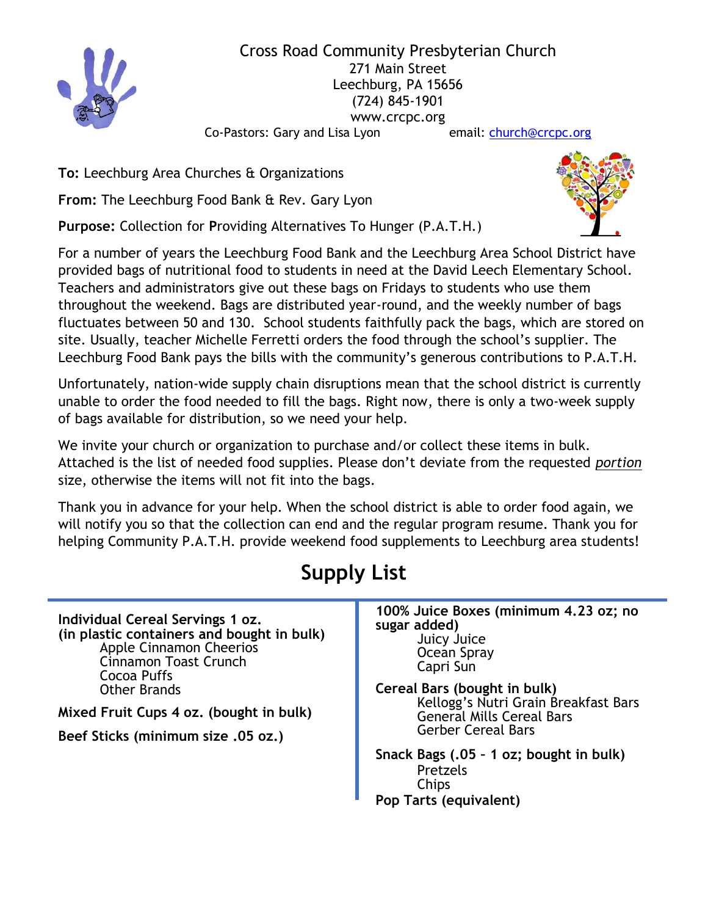

Cross Road Community Presbyterian Church 271 Main Street Leechburg, PA 15656 (724) 845-1901 www.crcpc.org Co-Pastors: Gary and Lisa Lyon email: [church@crcpc.org](mailto:church@crcpc.org)

**To:** Leechburg Area Churches & Organizations

**From:** The Leechburg Food Bank & Rev. Gary Lyon

**Purpose:** Collection for **P**roviding Alternatives To Hunger (P.A.T.H.)

For a number of years the Leechburg Food Bank and the Leechburg Area School District have provided bags of nutritional food to students in need at the David Leech Elementary School. Teachers and administrators give out these bags on Fridays to students who use them throughout the weekend. Bags are distributed year-round, and the weekly number of bags fluctuates between 50 and 130. School students faithfully pack the bags, which are stored on site. Usually, teacher Michelle Ferretti orders the food through the school's supplier. The Leechburg Food Bank pays the bills with the community's generous contributions to P.A.T.H.

Unfortunately, nation-wide supply chain disruptions mean that the school district is currently unable to order the food needed to fill the bags. Right now, there is only a two-week supply of bags available for distribution, so we need your help.

We invite your church or organization to purchase and/or collect these items in bulk. Attached is the list of needed food supplies. Please don't deviate from the requested *portion* size, otherwise the items will not fit into the bags.

Thank you in advance for your help. When the school district is able to order food again, we will notify you so that the collection can end and the regular program resume. Thank you for helping Community P.A.T.H. provide weekend food supplements to Leechburg area students!

#### **Individual Cereal Servings 1 oz. (in plastic containers and bought in bulk)** Apple Cinnamon Cheerios Cinnamon Toast Crunch Cocoa Puffs Other Brands **Mixed Fruit Cups 4 oz. (bought in bulk) Beef Sticks (minimum size .05 oz.) 100% Juice Boxes (minimum 4.23 oz; no sugar added)** Juicy Juice Ocean Spray Capri Sun **Cereal Bars (bought in bulk)** Kellogg's Nutri Grain Breakfast Bars General Mills Cereal Bars Gerber Cereal Bars **Snack Bags (.05 – 1 oz; bought in bulk)** Pretzels Chips **Pop Tarts (equivalent)**

## **Supply List**

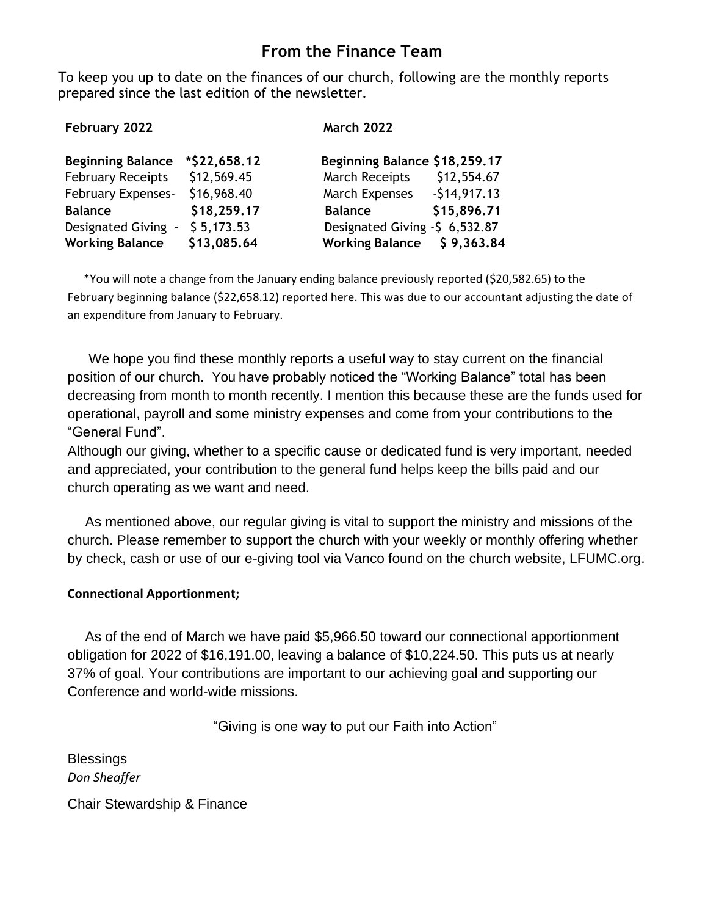#### **From the Finance Team**

To keep you up to date on the finances of our church, following are the monthly reports prepared since the last edition of the newsletter.

| February 2022            |                 | <b>March 2022</b>               |               |
|--------------------------|-----------------|---------------------------------|---------------|
| <b>Beginning Balance</b> | $*$ \$22,658.12 | Beginning Balance \$18,259.17   |               |
| <b>February Receipts</b> | \$12,569.45     | <b>March Receipts</b>           | \$12,554.67   |
| February Expenses-       | \$16,968.40     | <b>March Expenses</b>           | $-514,917.13$ |
| <b>Balance</b>           | \$18,259.17     | <b>Balance</b>                  | \$15,896.71   |
| Designated Giving -      | \$5,173.53      | Designated Giving - \$ 6,532.87 |               |
| <b>Working Balance</b>   | \$13,085.64     | <b>Working Balance</b>          | \$9,363.84    |
|                          |                 |                                 |               |

\*You will note a change from the January ending balance previously reported (\$20,582.65) to the February beginning balance (\$22,658.12) reported here. This was due to our accountant adjusting the date of an expenditure from January to February.

We hope you find these monthly reports a useful way to stay current on the financial position of our church. You have probably noticed the "Working Balance" total has been decreasing from month to month recently. I mention this because these are the funds used for operational, payroll and some ministry expenses and come from your contributions to the "General Fund".

Although our giving, whether to a specific cause or dedicated fund is very important, needed and appreciated, your contribution to the general fund helps keep the bills paid and our church operating as we want and need.

As mentioned above, our regular giving is vital to support the ministry and missions of the church. Please remember to support the church with your weekly or monthly offering whether by check, cash or use of our e-giving tool via Vanco found on the church website, LFUMC.org.

#### **Connectional Apportionment;**

As of the end of March we have paid \$5,966.50 toward our connectional apportionment obligation for 2022 of \$16,191.00, leaving a balance of \$10,224.50. This puts us at nearly 37% of goal. Your contributions are important to our achieving goal and supporting our Conference and world-wide missions.

"Giving is one way to put our Faith into Action"

**Blessings** *Don Sheaffer*

Chair Stewardship & Finance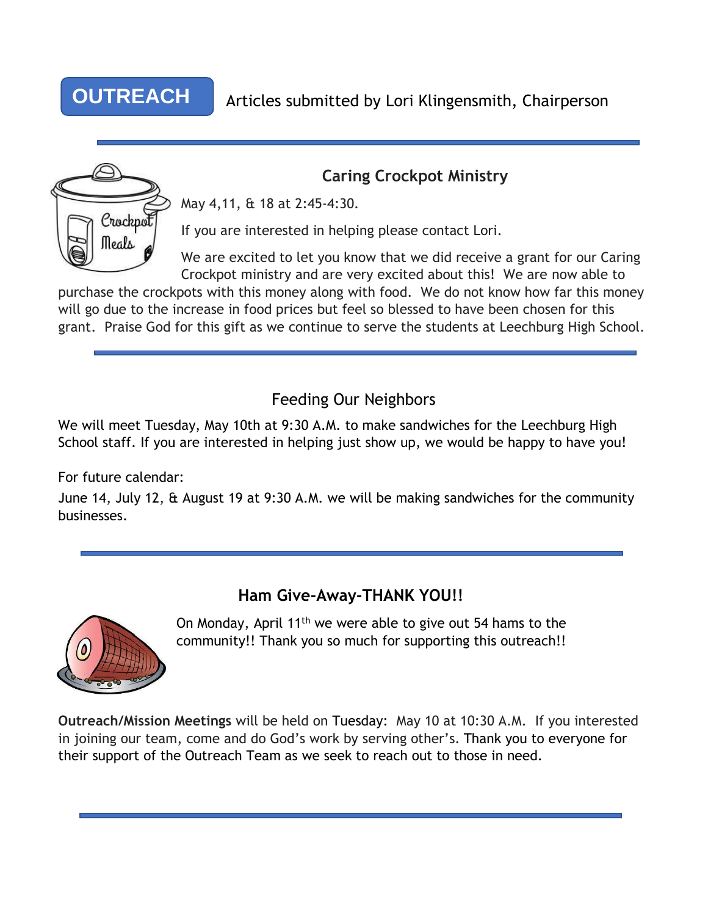## **OUTREACH**

Articles submitted by Lori Klingensmith, Chairperson



### **Caring Crockpot Ministry**

May 4,11, & 18 at 2:45-4:30.

If you are interested in helping please contact Lori.

We are excited to let you know that we did receive a grant for our Caring Crockpot ministry and are very excited about this! We are now able to

purchase the crockpots with this money along with food. We do not know how far this money will go due to the increase in food prices but feel so blessed to have been chosen for this grant. Praise God for this gift as we continue to serve the students at Leechburg High School.

## Feeding Our Neighbors

We will meet Tuesday, May 10th at 9:30 A.M. to make sandwiches for the Leechburg High School staff. If you are interested in helping just show up, we would be happy to have you!

For future calendar:

June 14, July 12, & August 19 at 9:30 A.M. we will be making sandwiches for the community businesses.

#### **Ham Give-Away-THANK YOU!!**



On Monday, April  $11<sup>th</sup>$  we were able to give out 54 hams to the community!! Thank you so much for supporting this outreach!!

**Outreach/Mission Meetings** will be held on Tuesday: May 10 at 10:30 A.M. If you interested in joining our team, come and do God's work by serving other's. Thank you to everyone for their support of the Outreach Team as we seek to reach out to those in need.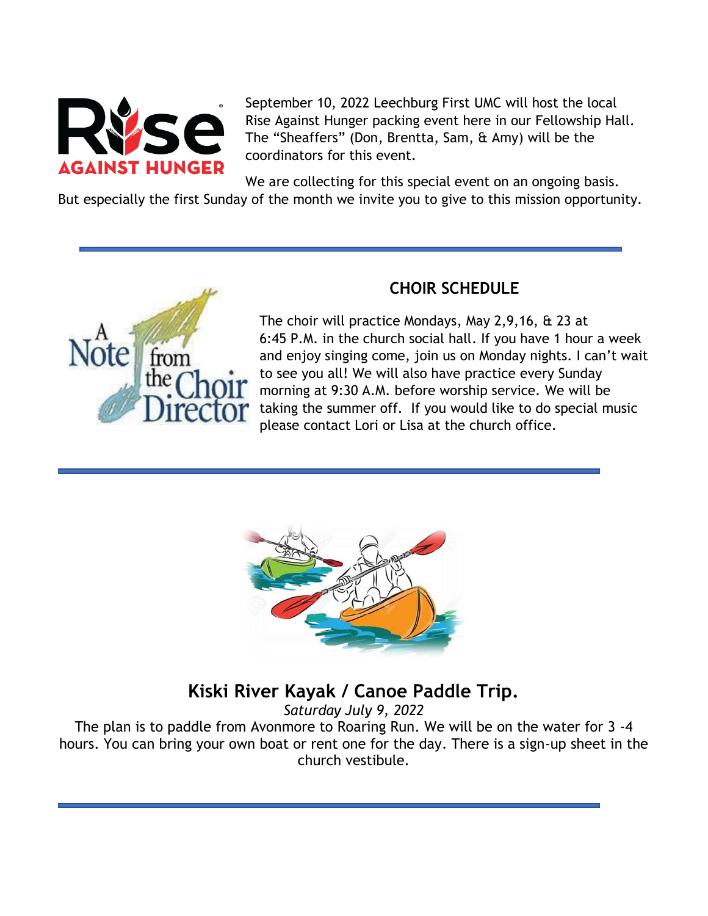

September 10, 2022 Leechburg First UMC will host the local Rise Against Hunger packing event here in our Fellowship Hall. The "Sheaffers" (Don, Brentta, Sam, & Amy) will be the coordinators for this event.

We are collecting for this special event on an ongoing basis.

But especially the first Sunday of the month we invite you to give to this mission opportunity.



## **CHOIR SCHEDULE**

The choir will practice Mondays, May 2,9,16, & 23 at 6:45 P.M. in the church social hall. If you have 1 hour a week and enjoy singing come, join us on Monday nights. I can't wait to see you all! We will also have practice every Sunday morning at 9:30 A.M. before worship service. We will be taking the summer off. If you would like to do special music please contact Lori or Lisa at the church office.



## **Kiski River Kayak / Canoe Paddle Trip.**

*Saturday July 9, 2022*

The plan is to paddle from Avonmore to Roaring Run. We will be on the water for 3 -4 hours. You can bring your own boat or rent one for the day. There is a sign-up sheet in the church vestibule.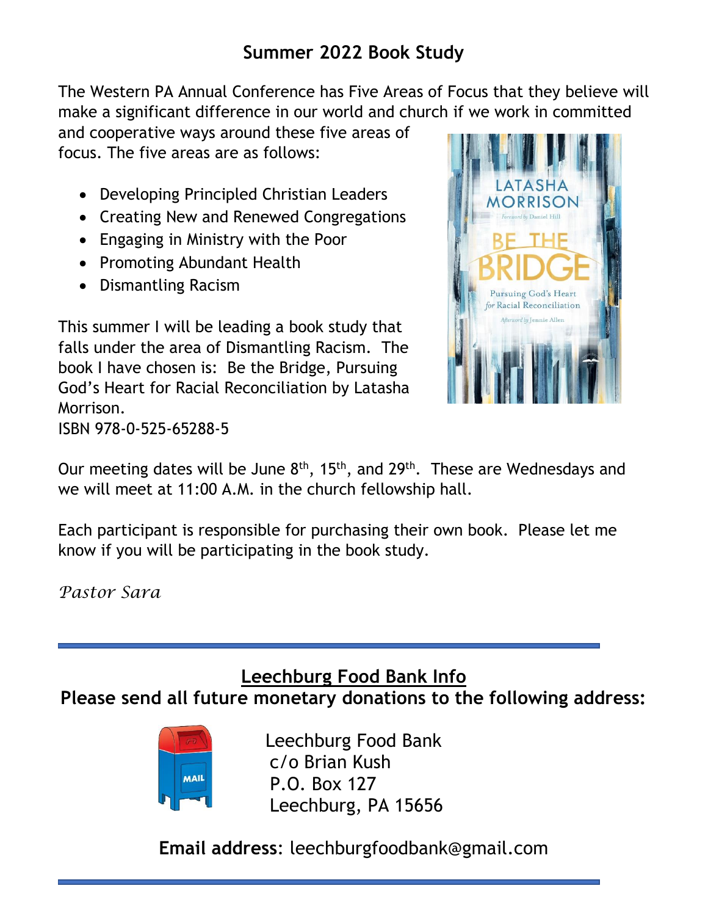## **Summer 2022 Book Study**

The Western PA Annual Conference has Five Areas of Focus that they believe will make a significant difference in our world and church if we work in committed

and cooperative ways around these five areas of focus. The five areas are as follows:

- Developing Principled Christian Leaders
- Creating New and Renewed Congregations
- Engaging in Ministry with the Poor
- Promoting Abundant Health
- Dismantling Racism

This summer I will be leading a book study that falls under the area of Dismantling Racism. The book I have chosen is: Be the Bridge, Pursuing God's Heart for Racial Reconciliation by Latasha Morrison. ISBN 978-0-525-65288-5



Our meeting dates will be June  $8<sup>th</sup>$ , 15<sup>th</sup>, and 29<sup>th</sup>. These are Wednesdays and we will meet at 11:00 A.M. in the church fellowship hall.

Each participant is responsible for purchasing their own book. Please let me know if you will be participating in the book study.

*Pastor Sara*

## **Leechburg Food Bank Info**

## **Please send all future monetary donations to the following address:**



Leechburg Food Bank c/o Brian Kush P.O. Box 127 Leechburg, PA 15656

**Email address**: leechburgfoodbank@gmail.com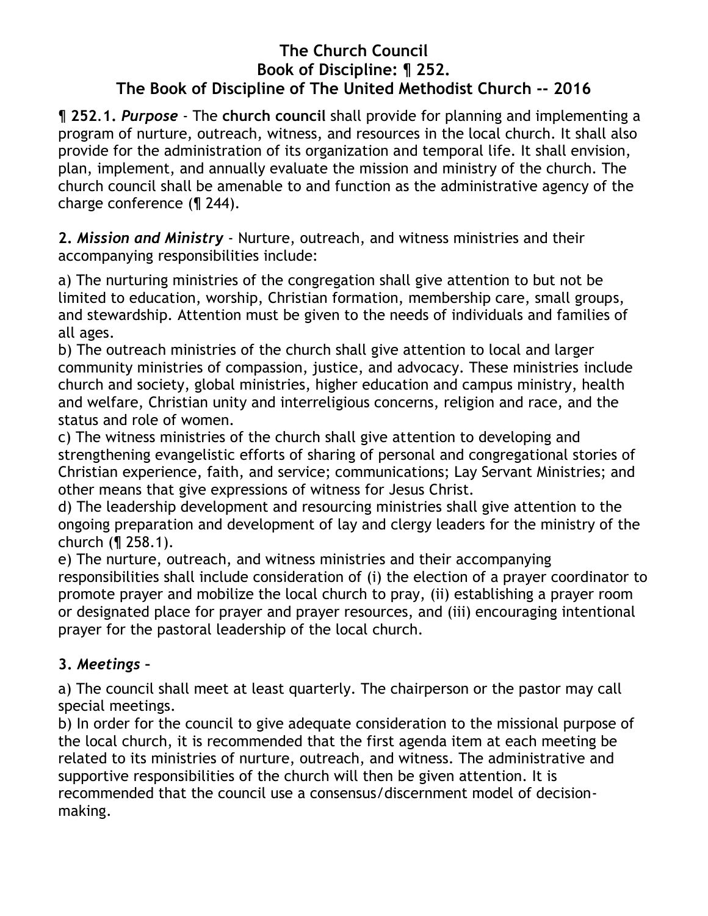#### **The Church Council Book of Discipline: ¶ 252. The Book of Discipline of The United Methodist Church -- 2016**

**¶ 252**.**1.** *Purpose* - The **church council** shall provide for planning and implementing a program of nurture, outreach, witness, and resources in the local church. It shall also provide for the administration of its organization and temporal life. It shall envision, plan, implement, and annually evaluate the mission and ministry of the church. The church council shall be amenable to and function as the administrative agency of the charge conference (¶ 244).

**2.** *Mission and Ministry* - Nurture, outreach, and witness ministries and their accompanying responsibilities include:

a) The nurturing ministries of the congregation shall give attention to but not be limited to education, worship, Christian formation, membership care, small groups, and stewardship. Attention must be given to the needs of individuals and families of all ages.

b) The outreach ministries of the church shall give attention to local and larger community ministries of compassion, justice, and advocacy. These ministries include church and society, global ministries, higher education and campus ministry, health and welfare, Christian unity and interreligious concerns, religion and race, and the status and role of women.

c) The witness ministries of the church shall give attention to developing and strengthening evangelistic efforts of sharing of personal and congregational stories of Christian experience, faith, and service; communications; Lay Servant Ministries; and other means that give expressions of witness for Jesus Christ.

d) The leadership development and resourcing ministries shall give attention to the ongoing preparation and development of lay and clergy leaders for the ministry of the church (¶ 258.1).

e) The nurture, outreach, and witness ministries and their accompanying responsibilities shall include consideration of (i) the election of a prayer coordinator to promote prayer and mobilize the local church to pray, (ii) establishing a prayer room or designated place for prayer and prayer resources, and (iii) encouraging intentional prayer for the pastoral leadership of the local church.

## **3.** *Meetings* **–**

a) The council shall meet at least quarterly. The chairperson or the pastor may call special meetings.

b) In order for the council to give adequate consideration to the missional purpose of the local church, it is recommended that the first agenda item at each meeting be related to its ministries of nurture, outreach, and witness. The administrative and supportive responsibilities of the church will then be given attention. It is recommended that the council use a consensus/discernment model of decisionmaking.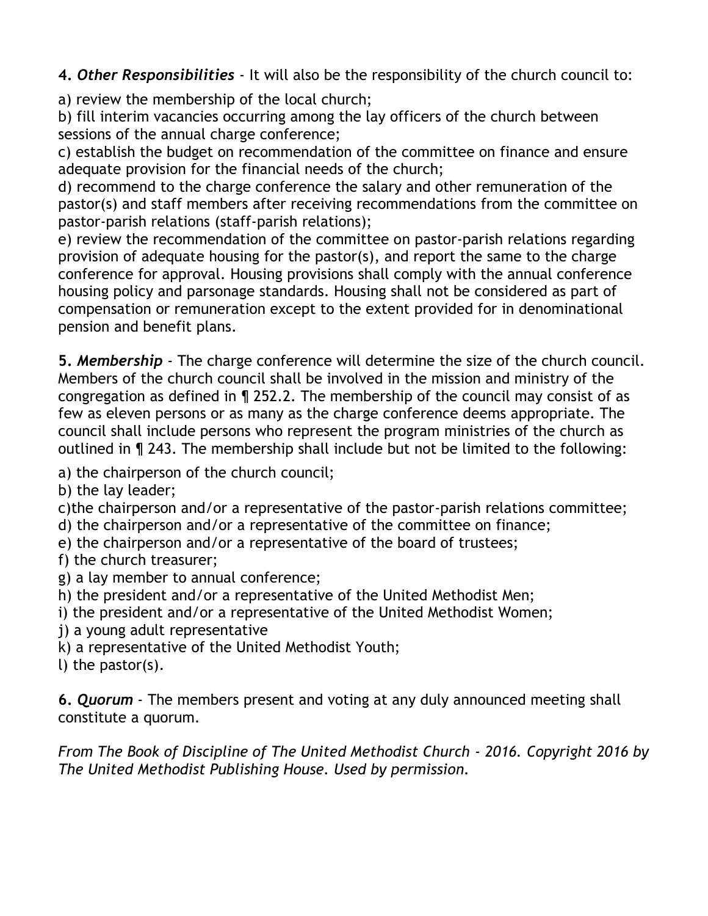#### **4.** *Other Responsibilities* - It will also be the responsibility of the church council to:

a) review the membership of the local church;

b) fill interim vacancies occurring among the lay officers of the church between sessions of the annual charge conference;

c) establish the budget on recommendation of the committee on finance and ensure adequate provision for the financial needs of the church;

d) recommend to the charge conference the salary and other remuneration of the pastor(s) and staff members after receiving recommendations from the committee on pastor-parish relations (staff-parish relations);

e) review the recommendation of the committee on pastor-parish relations regarding provision of adequate housing for the pastor(s), and report the same to the charge conference for approval. Housing provisions shall comply with the annual conference housing policy and parsonage standards. Housing shall not be considered as part of compensation or remuneration except to the extent provided for in denominational pension and benefit plans.

**5.** *Membership* - The charge conference will determine the size of the church council. Members of the church council shall be involved in the mission and ministry of the congregation as defined in ¶ 252.2. The membership of the council may consist of as few as eleven persons or as many as the charge conference deems appropriate. The council shall include persons who represent the program ministries of the church as outlined in ¶ 243. The membership shall include but not be limited to the following:

a) the chairperson of the church council;

- b) the lay leader;
- c)the chairperson and/or a representative of the pastor-parish relations committee;
- d) the chairperson and/or a representative of the committee on finance;
- e) the chairperson and/or a representative of the board of trustees;
- f) the church treasurer;
- g) a lay member to annual conference;
- h) the president and/or a representative of the United Methodist Men;
- i) the president and/or a representative of the United Methodist Women;
- j) a young adult representative
- k) a representative of the United Methodist Youth;
- l) the pastor(s).

**6.** *Quorum* - The members present and voting at any duly announced meeting shall constitute a quorum.

*From The Book of Discipline of The United Methodist Church - 2016. Copyright 2016 by The United Methodist Publishing House. Used by permission.*